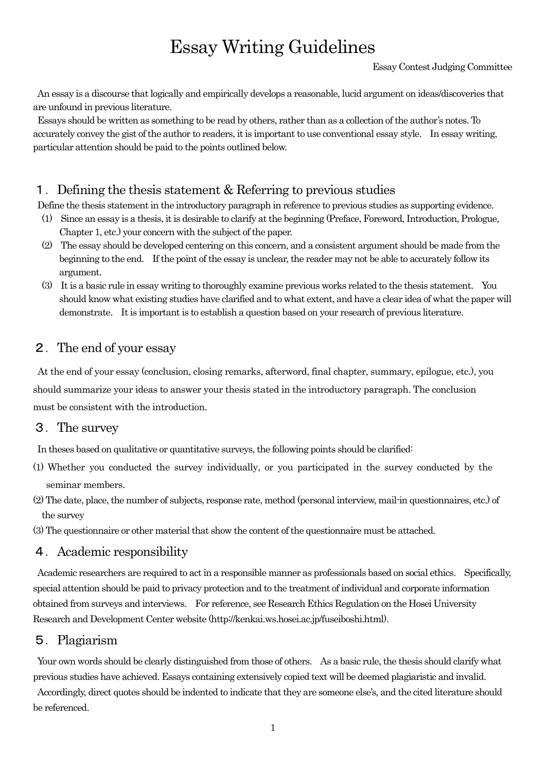# Essay Writing Guidelines

An essay is a discourse that logically and empirically develops a reasonable, lucid argument on ideas/discoveries that are unfound in previous literature.

Essays should be written as something to be read by others, rather than as a collection of the author's notes. To accurately convey the gist of the author to readers, it is important to use conventional essay style. In essay writing, particular attention should be paid to the points outlined below.

## 1.Defining the thesis statement & Referring to previous studies

Define the thesis statement in the introductory paragraph in reference to previous studies as supporting evidence.

- $(1)$  Since an essay is a thesis, it is desirable to clarify at the beginning (Preface, Foreword, Introduction, Prologue, Chapter 1, etc.) your concern with the subject of the paper.
- (2) The essay should be developed centering on this concern, and a consistent argument should be made from the beginning to the end. If the point of the essay is unclear, the reader may not be able to accurately follow its argument.
- (3) It is a basic rule in essay writing to thoroughly examine previous works related to the thesis statement. You should know what existing studies have clarified and to what extent, and have a clear idea of what the paper will demonstrate. It is important is to establish a question based on your research of previous literature.

## 2.The end of your essay

At the end of your essay (conclusion, closing remarks, afterword, final chapter, summary, epilogue, etc.), you should summarize your ideas to answer your thesis stated in the introductory paragraph. The conclusion must be consistent with the introduction.

#### 3.The survey

In theses based on qualitative or quantitative surveys, the following points should be clarified:

- (1) Whether you conducted the survey individually, or you participated in the survey conducted by the seminar members.
- (2) The date, place, the number of subjects, response rate, method (personal interview, mail-in questionnaires, etc.) of the survey

(3) The questionnaire or other material that show the content of the questionnaire must be attached.

#### 4.Academic responsibility

Academic researchers are required to act in a responsible manner as professionals based on social ethics. Specifically, special attention should be paid to privacy protection and to the treatment of individual and corporate information obtained from surveys and interviews. For reference, see Research Ethics Regulation on the Hosei University Research and Development Center website (http://kenkai.ws.hosei.ac.jp/fuseiboshi.html).

#### 5.Plagiarism

Your own words should be clearly distinguished from those of others. As a basic rule, the thesis should clarify what previous studies have achieved. Essays containing extensively copied text will be deemed plagiaristic and invalid.

Accordingly, direct quotes should be indented to indicate that they are someone else's, and the cited literature should be referenced.